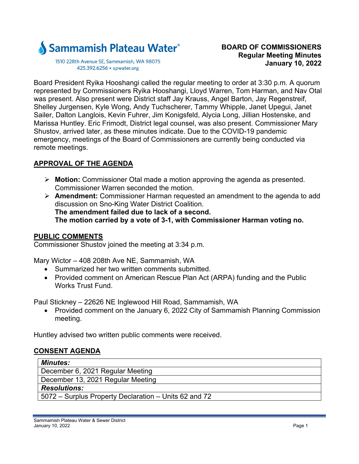

1510 228th Avenue SE, Sammamish, WA 98075 425.392.6256 · spwater.org

Board President Ryika Hooshangi called the regular meeting to order at 3:30 p.m. A quorum represented by Commissioners Ryika Hooshangi, Lloyd Warren, Tom Harman, and Nav Otal was present. Also present were District staff Jay Krauss, Angel Barton, Jay Regenstreif, Shelley Jurgensen, Kyle Wong, Andy Tuchscherer, Tammy Whipple, Janet Upegui, Janet Sailer, Dalton Langlois, Kevin Fuhrer, Jim Konigsfeld, Alycia Long, Jillian Hostenske, and Marissa Huntley. Eric Frimodt, District legal counsel, was also present. Commissioner Mary Shustov, arrived later, as these minutes indicate. Due to the COVID-19 pandemic emergency, meetings of the Board of Commissioners are currently being conducted via remote meetings.

# **APPROVAL OF THE AGENDA**

- **Motion:** Commissioner Otal made a motion approving the agenda as presented. Commissioner Warren seconded the motion.
- **Amendment:** Commissioner Harman requested an amendment to the agenda to add discussion on Sno-King Water District Coalition. **The amendment failed due to lack of a second. The motion carried by a vote of 3-1, with Commissioner Harman voting no.**

# **PUBLIC COMMENTS**

Commissioner Shustov joined the meeting at 3:34 p.m.

Mary Wictor – 408 208th Ave NE, Sammamish, WA

- Summarized her two written comments submitted.
- Provided comment on American Rescue Plan Act (ARPA) funding and the Public Works Trust Fund.

Paul Stickney – 22626 NE Inglewood Hill Road, Sammamish, WA

• Provided comment on the January 6, 2022 City of Sammamish Planning Commission meeting.

Huntley advised two written public comments were received.

# **CONSENT AGENDA**

| <b>Minutes:</b>                                       |
|-------------------------------------------------------|
| December 6, 2021 Regular Meeting                      |
| December 13, 2021 Regular Meeting                     |
| <b>Resolutions:</b>                                   |
| 5072 – Surplus Property Declaration – Units 62 and 72 |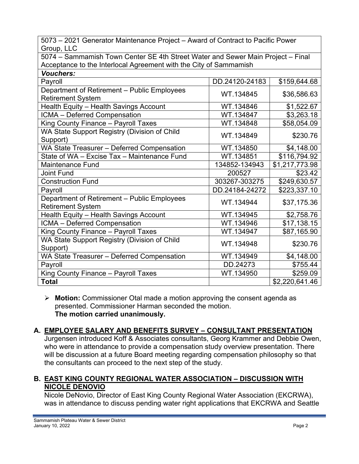5073 – 2021 Generator Maintenance Project – Award of Contract to Pacific Power Group, LLC

5074 – Sammamish Town Center SE 4th Street Water and Sewer Main Project – Final Acceptance to the Interlocal Agreement with the City of Sammamish

| <b>Vouchers:</b>                                                        |                |                |
|-------------------------------------------------------------------------|----------------|----------------|
| Payroll                                                                 | DD.24120-24183 | \$159,644.68   |
| Department of Retirement - Public Employees<br><b>Retirement System</b> | WT.134845      | \$36,586.63    |
| Health Equity - Health Savings Account                                  | WT.134846      | \$1,522.67     |
| ICMA - Deferred Compensation                                            | WT.134847      | \$3,263.18     |
| King County Finance - Payroll Taxes                                     | WT.134848      | \$58,054.09    |
| WA State Support Registry (Division of Child<br>Support)                | WT.134849      | \$230.76       |
| WA State Treasurer - Deferred Compensation                              | WT.134850      | \$4,148.00     |
| State of WA - Excise Tax - Maintenance Fund                             | WT.134851      | \$116,794.92   |
| <b>Maintenance Fund</b>                                                 | 134852-134943  | \$1,217,773.98 |
| <b>Joint Fund</b>                                                       | 200527         | \$23.42        |
| <b>Construction Fund</b>                                                | 303267-303275  | \$249,630.57   |
| Payroll                                                                 | DD.24184-24272 | \$223,337.10   |
| Department of Retirement - Public Employees<br><b>Retirement System</b> | WT.134944      | \$37,175.36    |
| Health Equity - Health Savings Account                                  | WT.134945      | \$2,758.76     |
| ICMA - Deferred Compensation                                            | WT.134946      | \$17,138.15    |
| King County Finance - Payroll Taxes                                     | WT.134947      | \$87,165.90    |
| WA State Support Registry (Division of Child<br>Support)                | WT.134948      | \$230.76       |
| WA State Treasurer - Deferred Compensation                              | WT.134949      | \$4,148.00     |
| Payroll                                                                 | DD.24273       | \$755.44       |
| King County Finance - Payroll Taxes                                     | WT.134950      | \$259.09       |
| <b>Total</b>                                                            |                | \$2,220,641.46 |

 **Motion:** Commissioner Otal made a motion approving the consent agenda as presented. Commissioner Harman seconded the motion. **The motion carried unanimously.** 

# **A. EMPLOYEE SALARY AND BENEFITS SURVEY – CONSULTANT PRESENTATION**

Jurgensen introduced Koff & Associates consultants, Georg Krammer and Debbie Owen, who were in attendance to provide a compensation study overview presentation. There will be discussion at a future Board meeting regarding compensation philosophy so that the consultants can proceed to the next step of the study.

# **B. EAST KING COUNTY REGIONAL WATER ASSOCIATION – DISCUSSION WITH NICOLE DENOVIO**

Nicole DeNovio, Director of East King County Regional Water Association (EKCRWA), was in attendance to discuss pending water right applications that EKCRWA and Seattle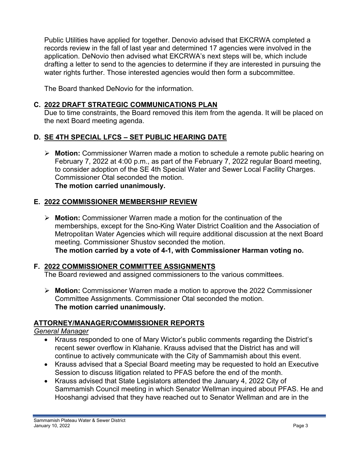Public Utilities have applied for together. Denovio advised that EKCRWA completed a records review in the fall of last year and determined 17 agencies were involved in the application. DeNovio then advised what EKCRWA's next steps will be, which include drafting a letter to send to the agencies to determine if they are interested in pursuing the water rights further. Those interested agencies would then form a subcommittee.

The Board thanked DeNovio for the information.

## **C. 2022 DRAFT STRATEGIC COMMUNICATIONS PLAN**

Due to time constraints, the Board removed this item from the agenda. It will be placed on the next Board meeting agenda.

# **D. SE 4TH SPECIAL LFCS – SET PUBLIC HEARING DATE**

 **Motion:** Commissioner Warren made a motion to schedule a remote public hearing on February 7, 2022 at 4:00 p.m., as part of the February 7, 2022 regular Board meeting, to consider adoption of the SE 4th Special Water and Sewer Local Facility Charges. Commissioner Otal seconded the motion. **The motion carried unanimously.** 

### **E. 2022 COMMISSIONER MEMBERSHIP REVIEW**

 **Motion:** Commissioner Warren made a motion for the continuation of the memberships, except for the Sno-King Water District Coalition and the Association of Metropolitan Water Agencies which will require additional discussion at the next Board meeting. Commissioner Shustov seconded the motion. **The motion carried by a vote of 4-1, with Commissioner Harman voting no.** 

#### **F. 2022 COMMISSIONER COMMITTEE ASSIGNMENTS**

The Board reviewed and assigned commissioners to the various committees.

 **Motion:** Commissioner Warren made a motion to approve the 2022 Commissioner Committee Assignments. Commissioner Otal seconded the motion. **The motion carried unanimously.** 

# **ATTORNEY/MANAGER/COMMISSIONER REPORTS**

#### *General Manager*

- Krauss responded to one of Mary Wictor's public comments regarding the District's recent sewer overflow in Klahanie. Krauss advised that the District has and will continue to actively communicate with the City of Sammamish about this event.
- Krauss advised that a Special Board meeting may be requested to hold an Executive Session to discuss litigation related to PFAS before the end of the month.
- Krauss advised that State Legislators attended the January 4, 2022 City of Sammamish Council meeting in which Senator Wellman inquired about PFAS. He and Hooshangi advised that they have reached out to Senator Wellman and are in the